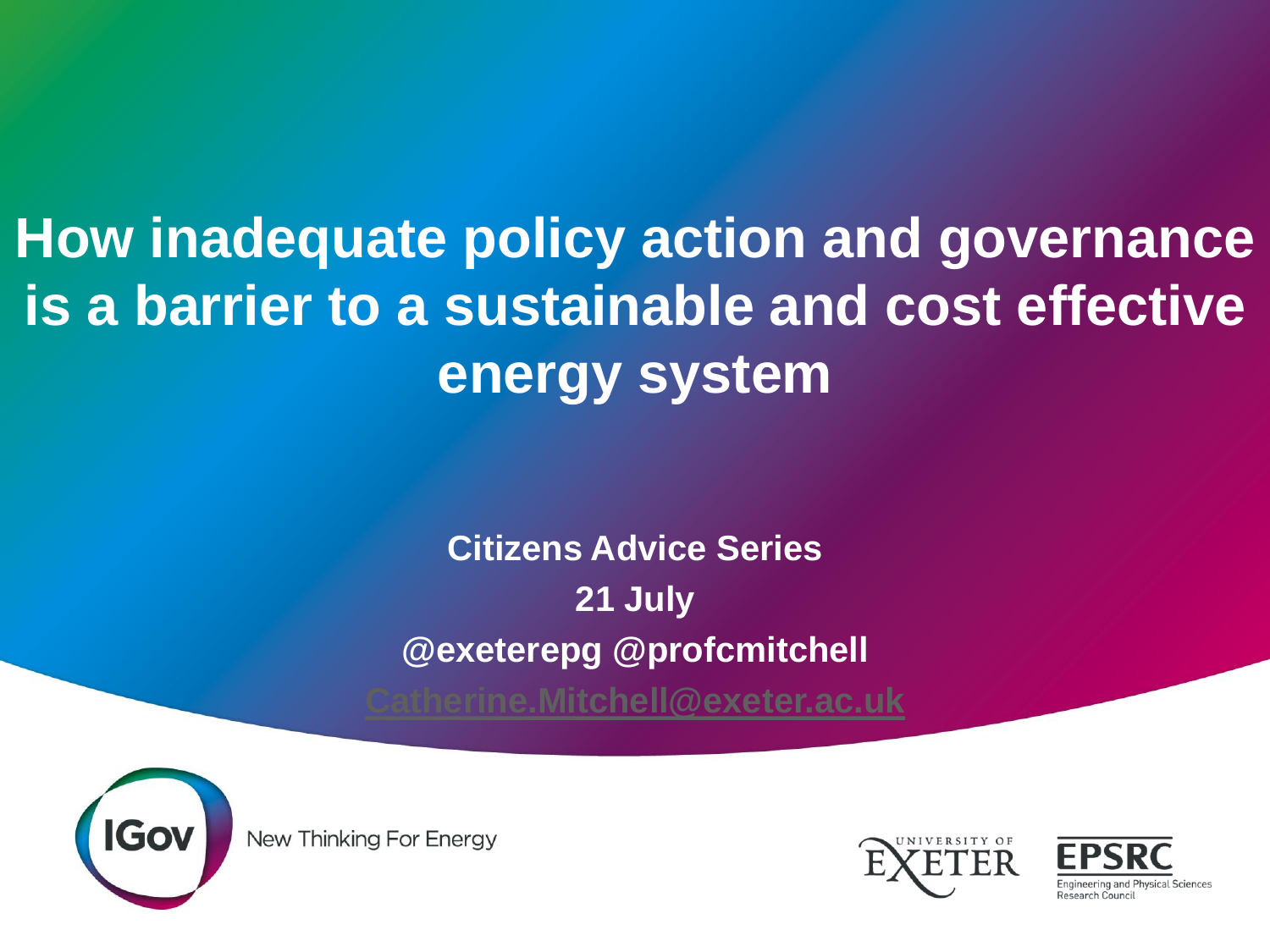**How inadequate policy action and governance is a barrier to a sustainable and cost effective energy system**

> **Citizens Advice Series 21 July @exeterepg @profcmitchell [Catherine.Mitchell@exeter.ac.uk](mailto:Catherine.Mitchell@exeter.ac.uk)**



New Thinking For Energy



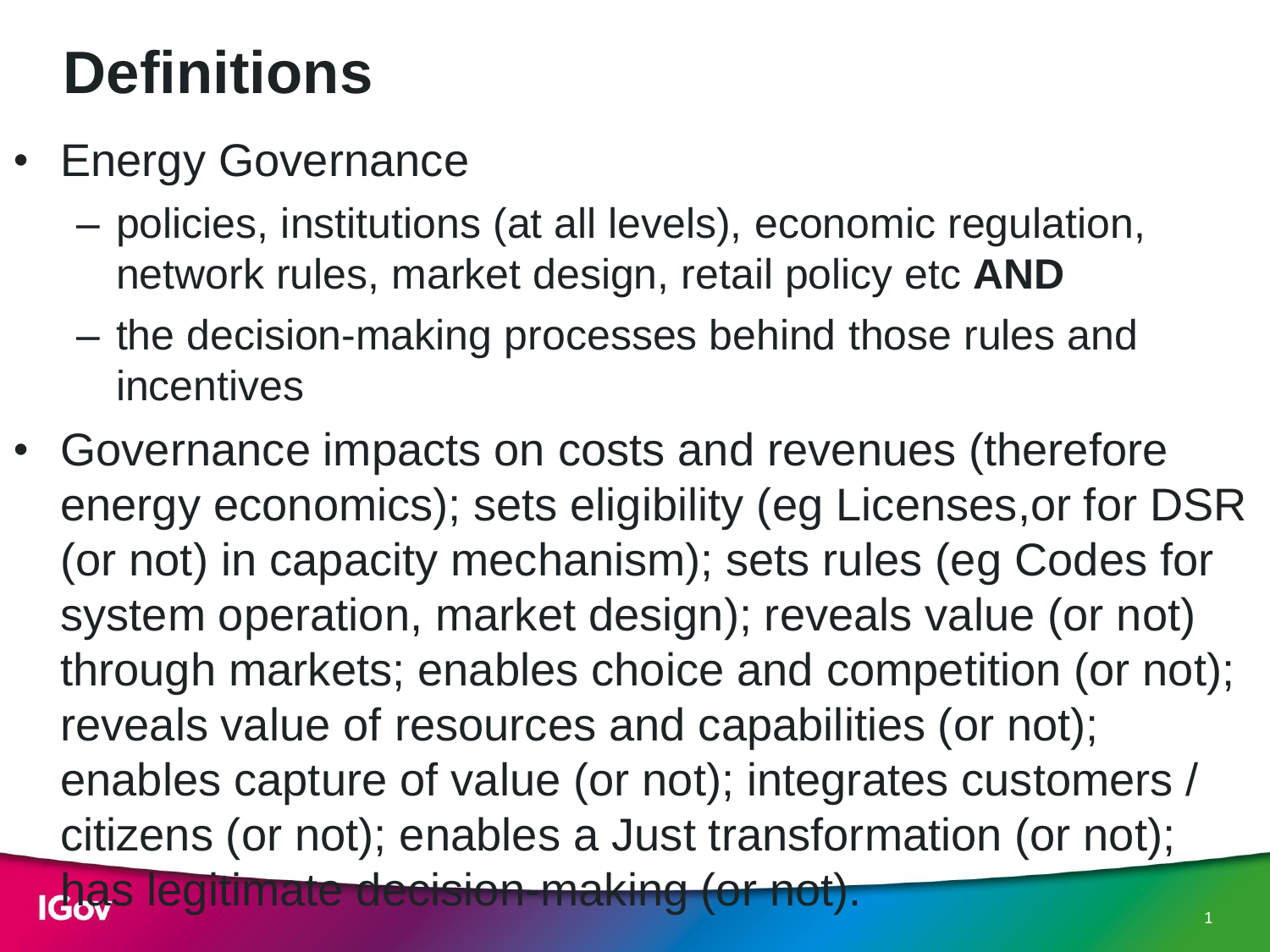### **Definitions**

- Energy Governance
	- policies, institutions (at all levels), economic regulation, network rules, market design, retail policy etc **AND**
	- the decision-making processes behind those rules and incentives
- Governance impacts on costs and revenues (therefore energy economics); sets eligibility (eg Licenses,or for DSR (or not) in capacity mechanism); sets rules (eg Codes for system operation, market design); reveals value (or not) through markets; enables choice and competition (or not); reveals value of resources and capabilities (or not); enables capture of value (or not); integrates customers / citizens (or not); enables a Just transformation (or not); has legitimate decision-making (or not).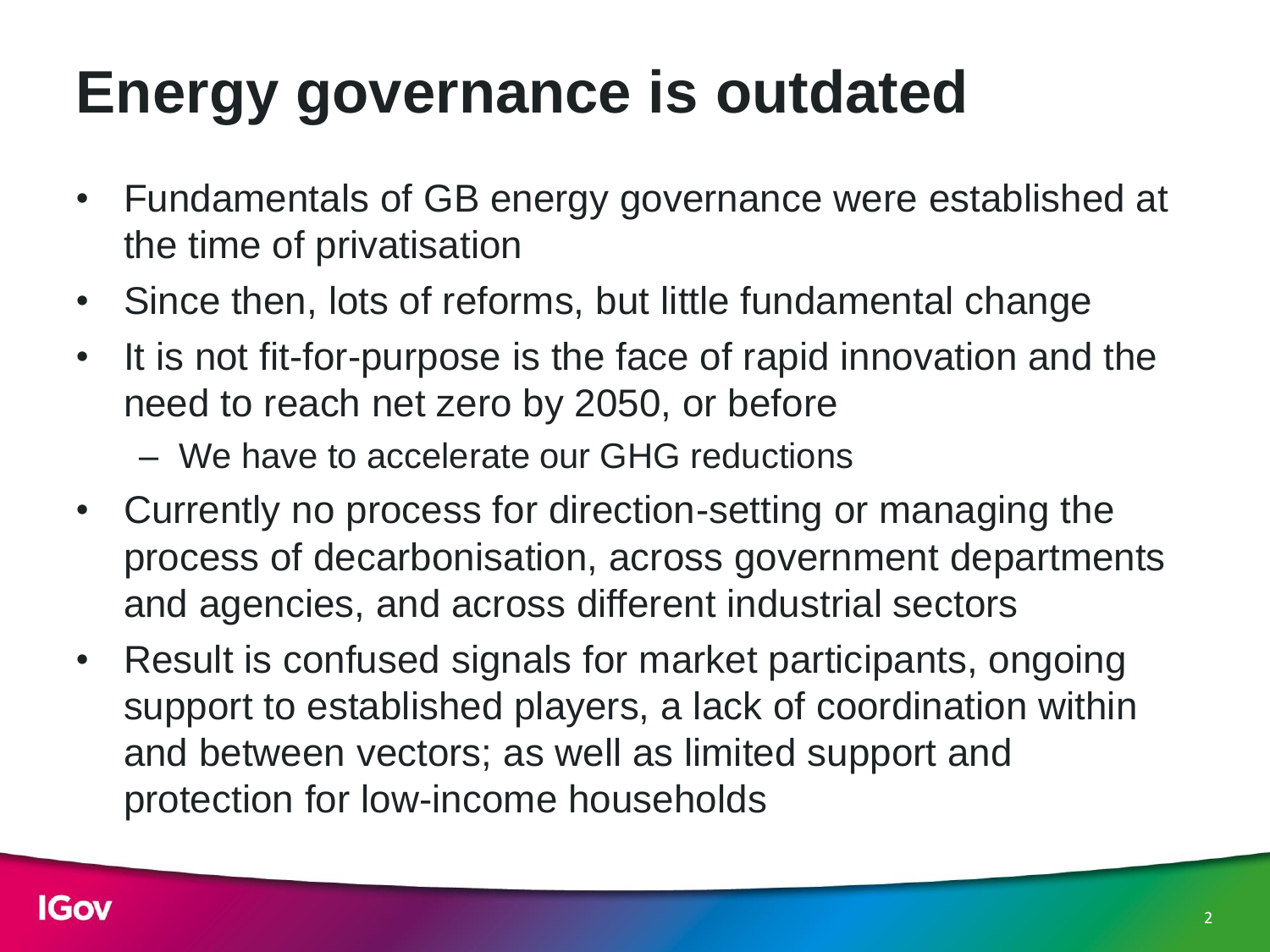# **Energy governance is outdated**

- Fundamentals of GB energy governance were established at the time of privatisation
- Since then, lots of reforms, but little fundamental change
- It is not fit-for-purpose is the face of rapid innovation and the need to reach net zero by 2050, or before

– We have to accelerate our GHG reductions

- Currently no process for direction-setting or managing the process of decarbonisation, across government departments and agencies, and across different industrial sectors
- Result is confused signals for market participants, ongoing support to established players, a lack of coordination within and between vectors; as well as limited support and protection for low-income households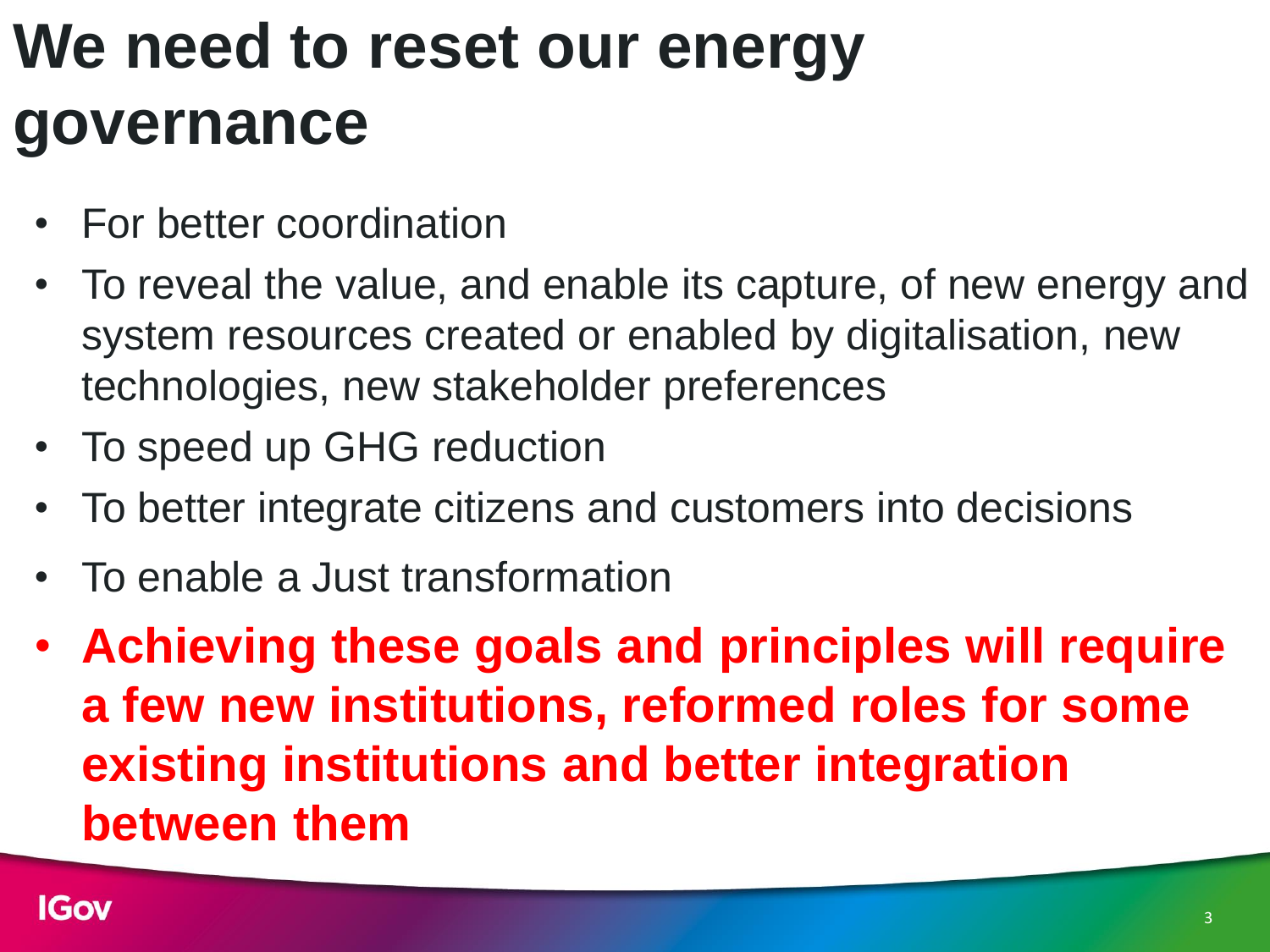# **We need to reset our energy governance**

- For better coordination
- To reveal the value, and enable its capture, of new energy and system resources created or enabled by digitalisation, new technologies, new stakeholder preferences
- To speed up GHG reduction
- To better integrate citizens and customers into decisions
- To enable a Just transformation
- **Achieving these goals and principles will require a few new institutions, reformed roles for some existing institutions and better integration between them**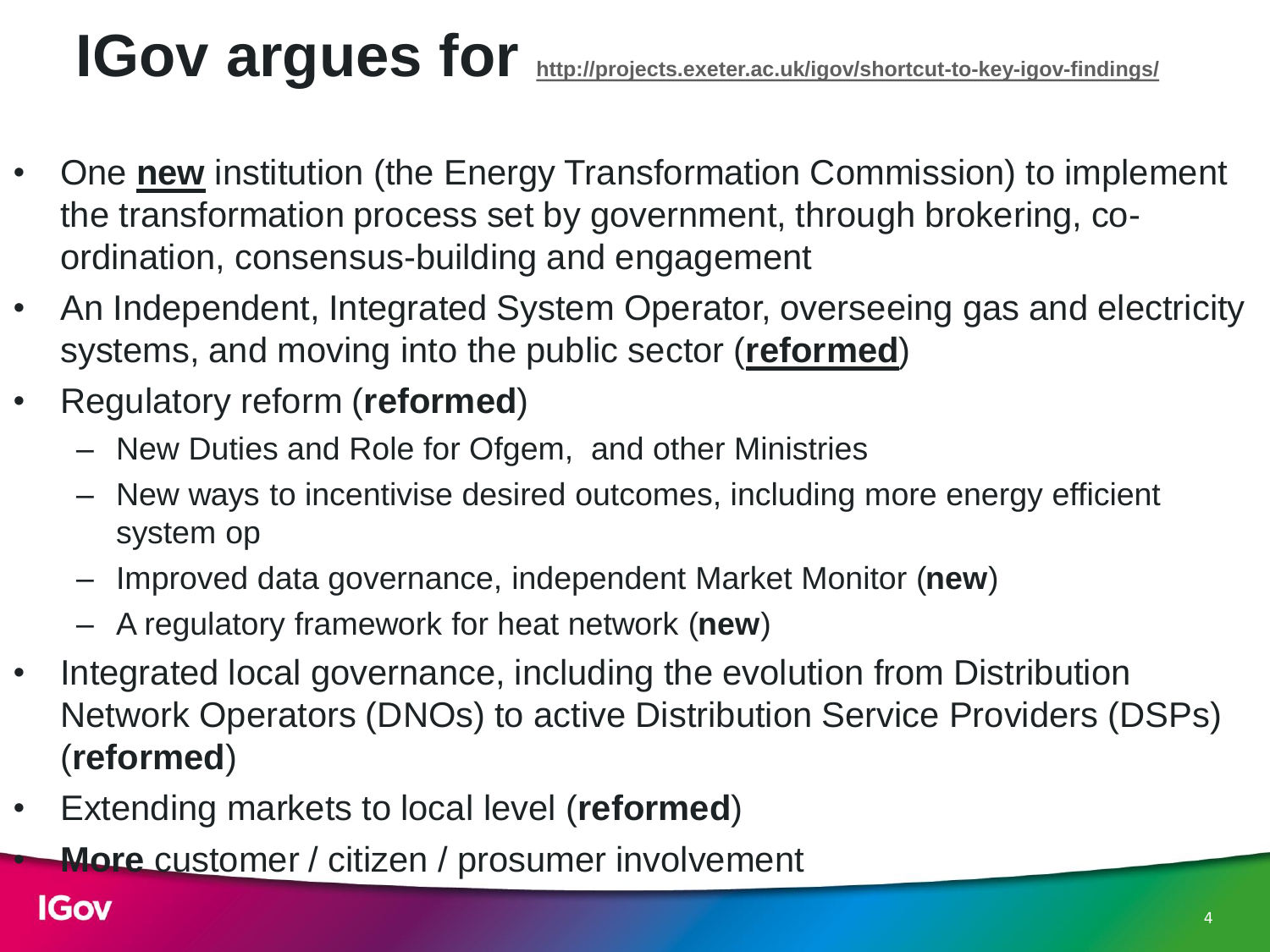## **IGov argues for <http://projects.exeter.ac.uk/igov/shortcut-to-key-igov-findings/>**

- One **new** institution (the Energy Transformation Commission) to implement the transformation process set by government, through brokering, coordination, consensus-building and engagement
- An Independent, Integrated System Operator, overseeing gas and electricity systems, and moving into the public sector (**reformed**)
- Regulatory reform (**reformed**)
	- New Duties and Role for Ofgem, and other Ministries
	- New ways to incentivise desired outcomes, including more energy efficient system op
	- Improved data governance, independent Market Monitor (**new**)
	- A regulatory framework for heat network (**new**)
- Integrated local governance, including the evolution from Distribution Network Operators (DNOs) to active Distribution Service Providers (DSPs) (**reformed**)
- Extending markets to local level (**reformed**)
	- **More** customer / citizen / prosumer involvement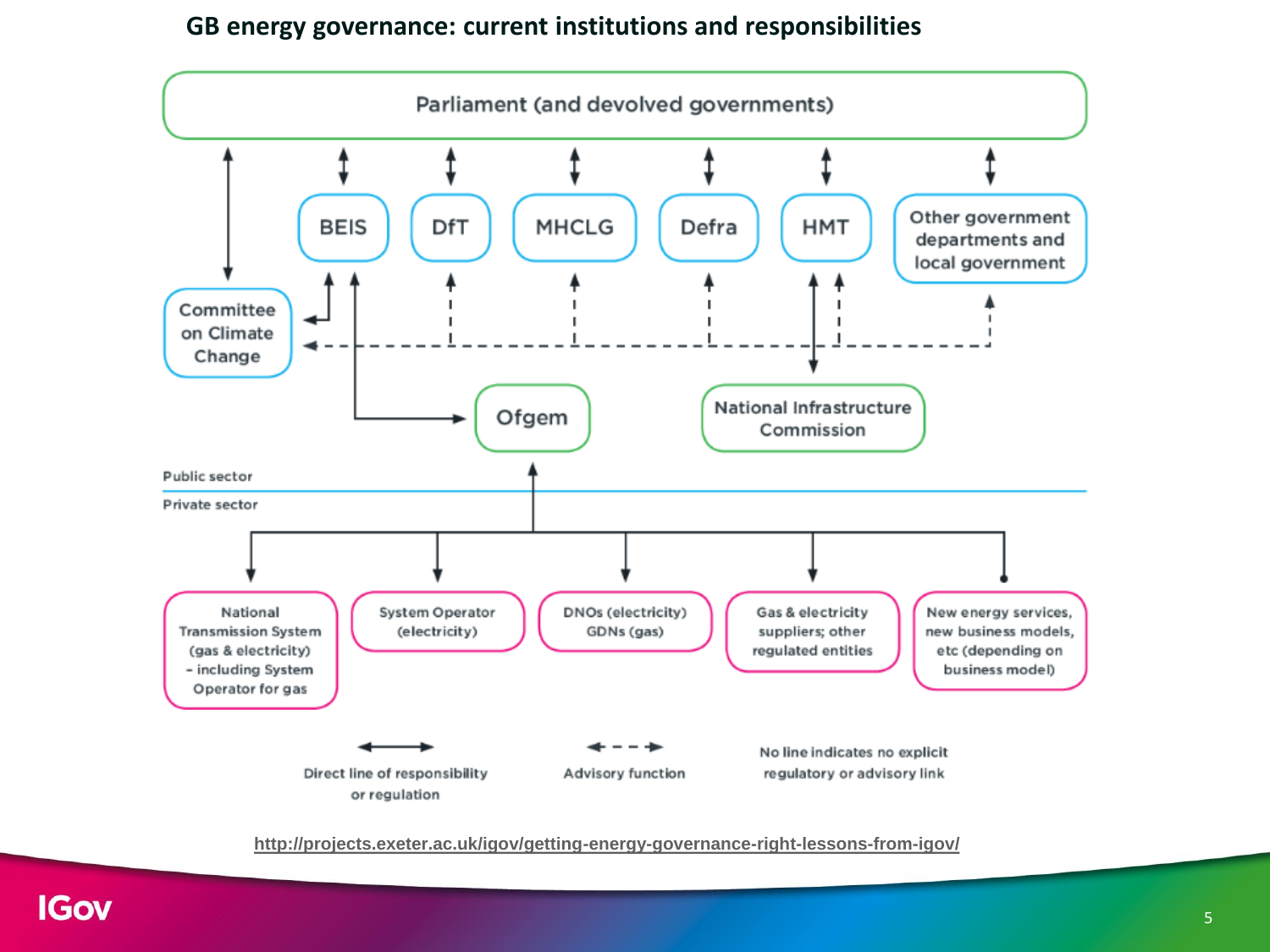#### **GB energy governance: current institutions and responsibilities**



**<http://projects.exeter.ac.uk/igov/getting-energy-governance-right-lessons-from-igov/>**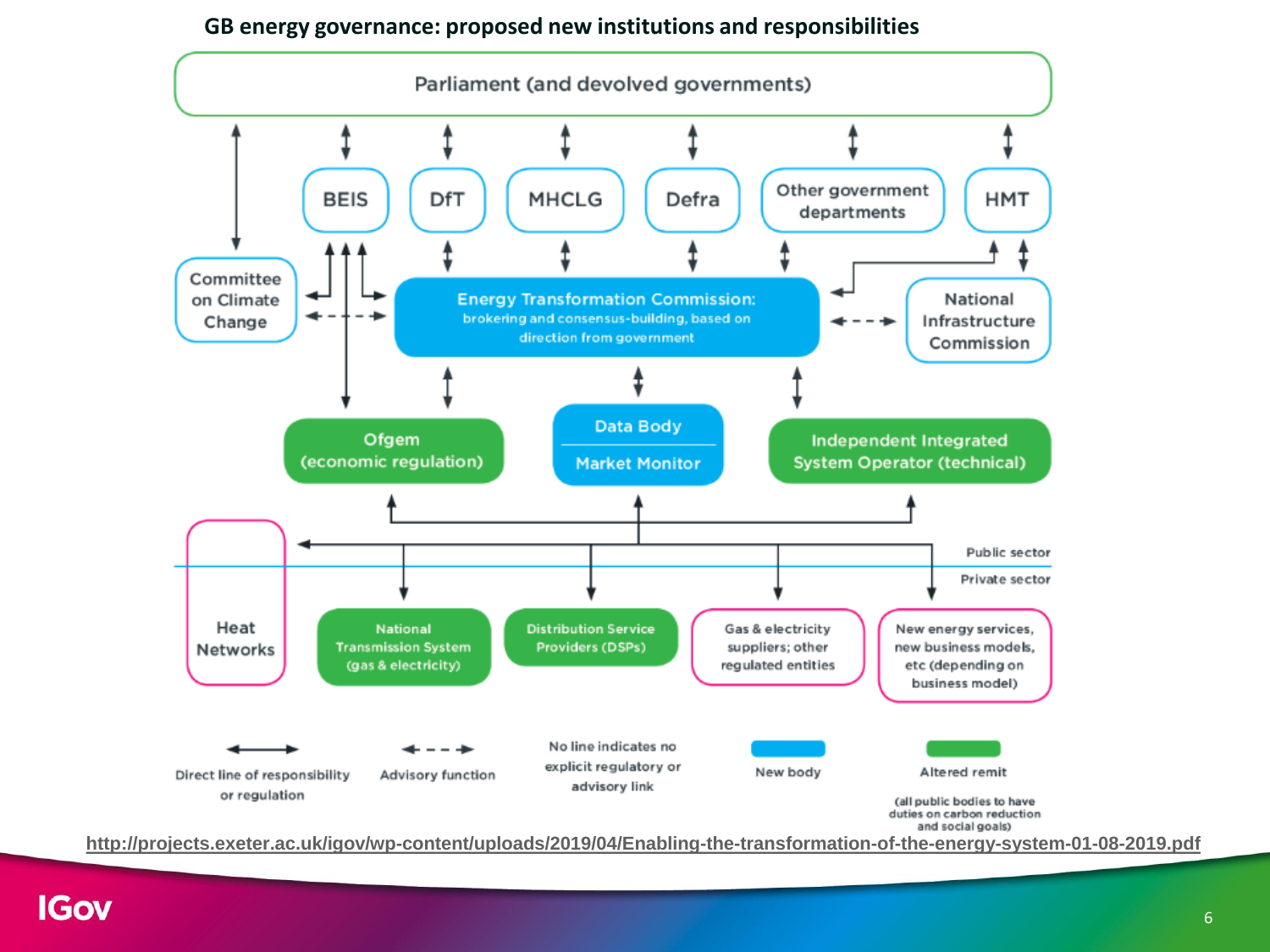#### **GB energy governance: proposed new institutions and responsibilities**



**<http://projects.exeter.ac.uk/igov/wp-content/uploads/2019/04/Enabling-the-transformation-of-the-energy-system-01-08-2019.pdf>**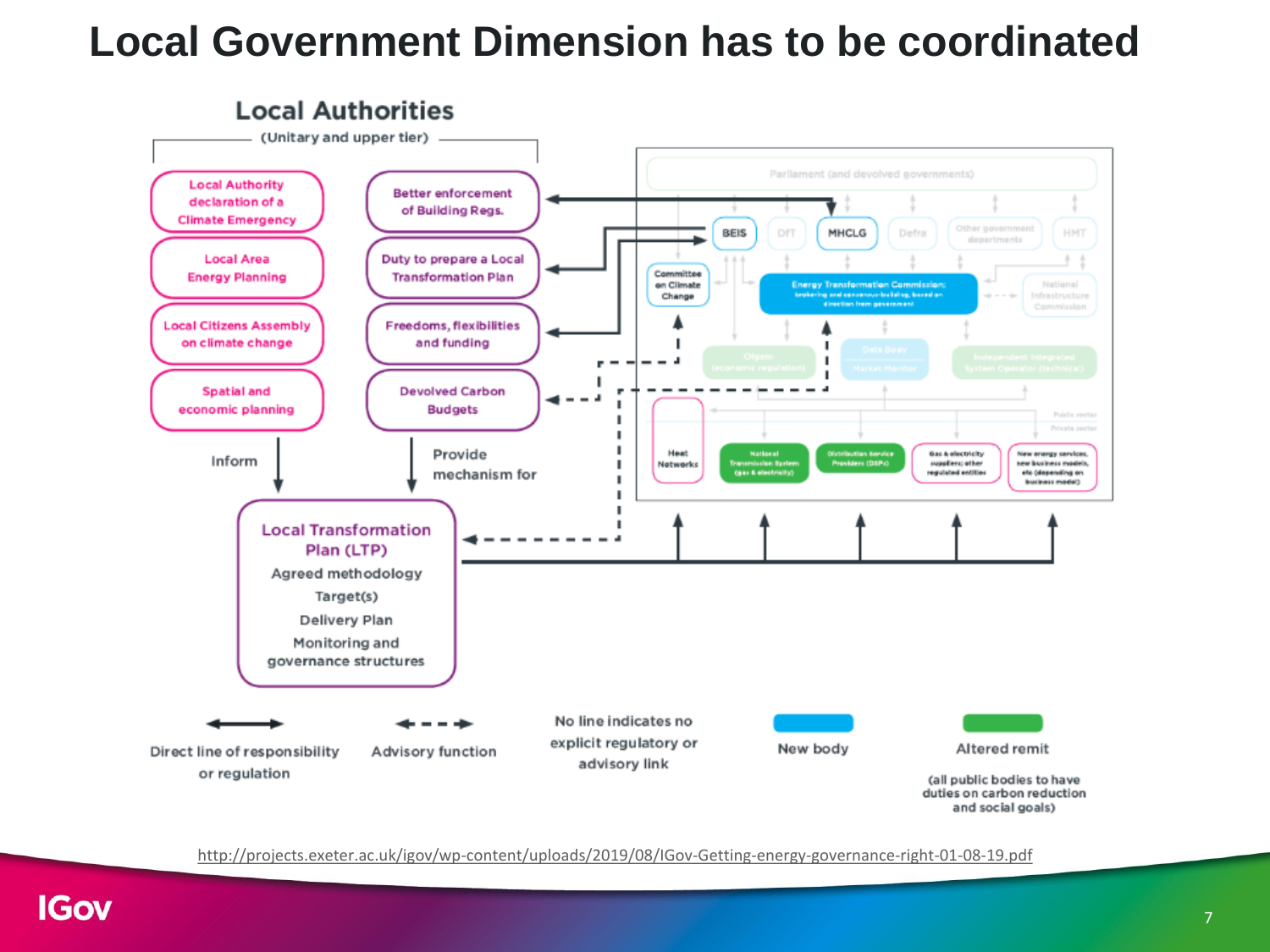### **Local Government Dimension has to be coordinated**



<http://projects.exeter.ac.uk/igov/wp-content/uploads/2019/08/IGov-Getting-energy-governance-right-01-08-19.pdf>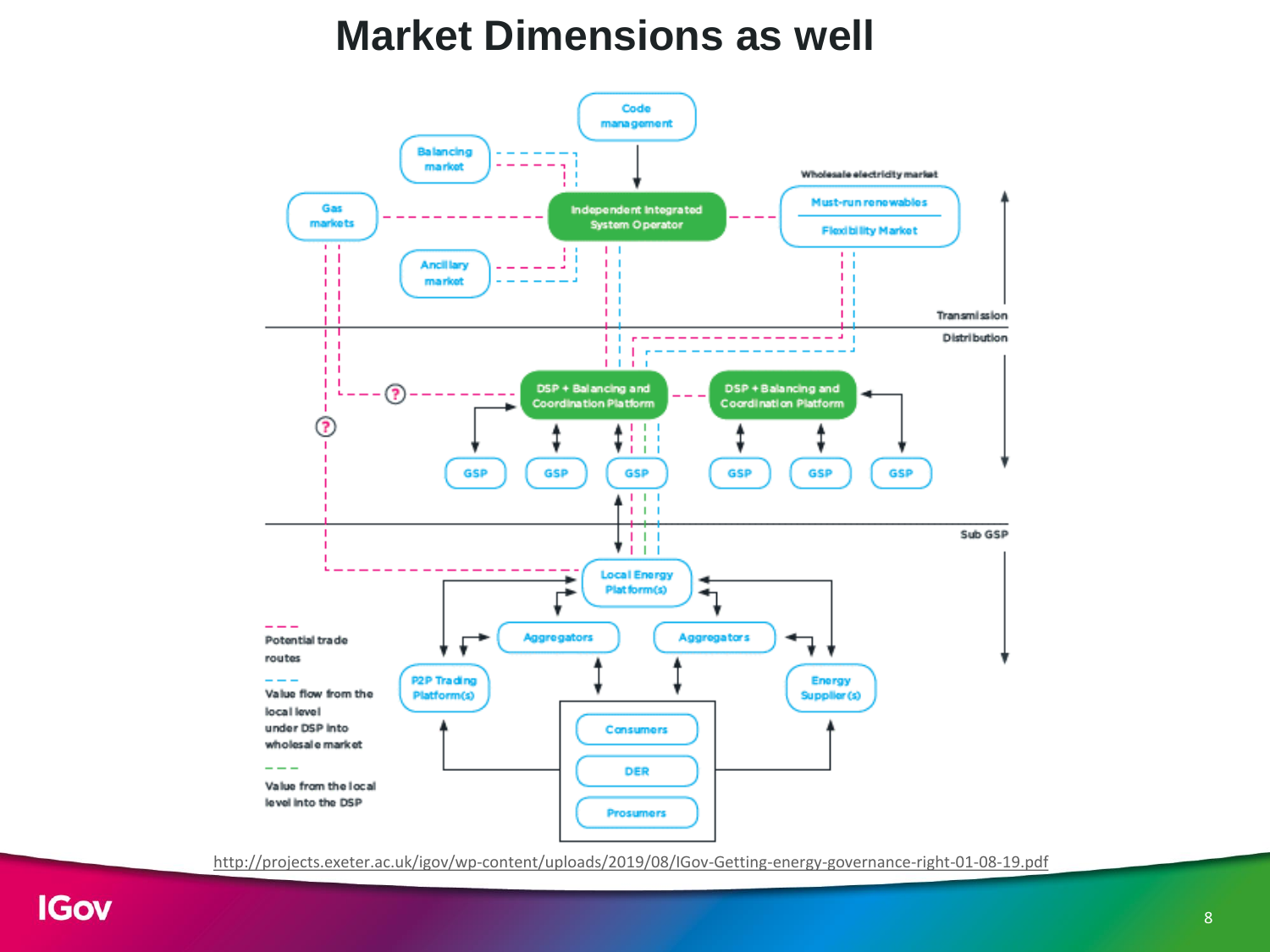### **Market Dimensions as well**



<http://projects.exeter.ac.uk/igov/wp-content/uploads/2019/08/IGov-Getting-energy-governance-right-01-08-19.pdf>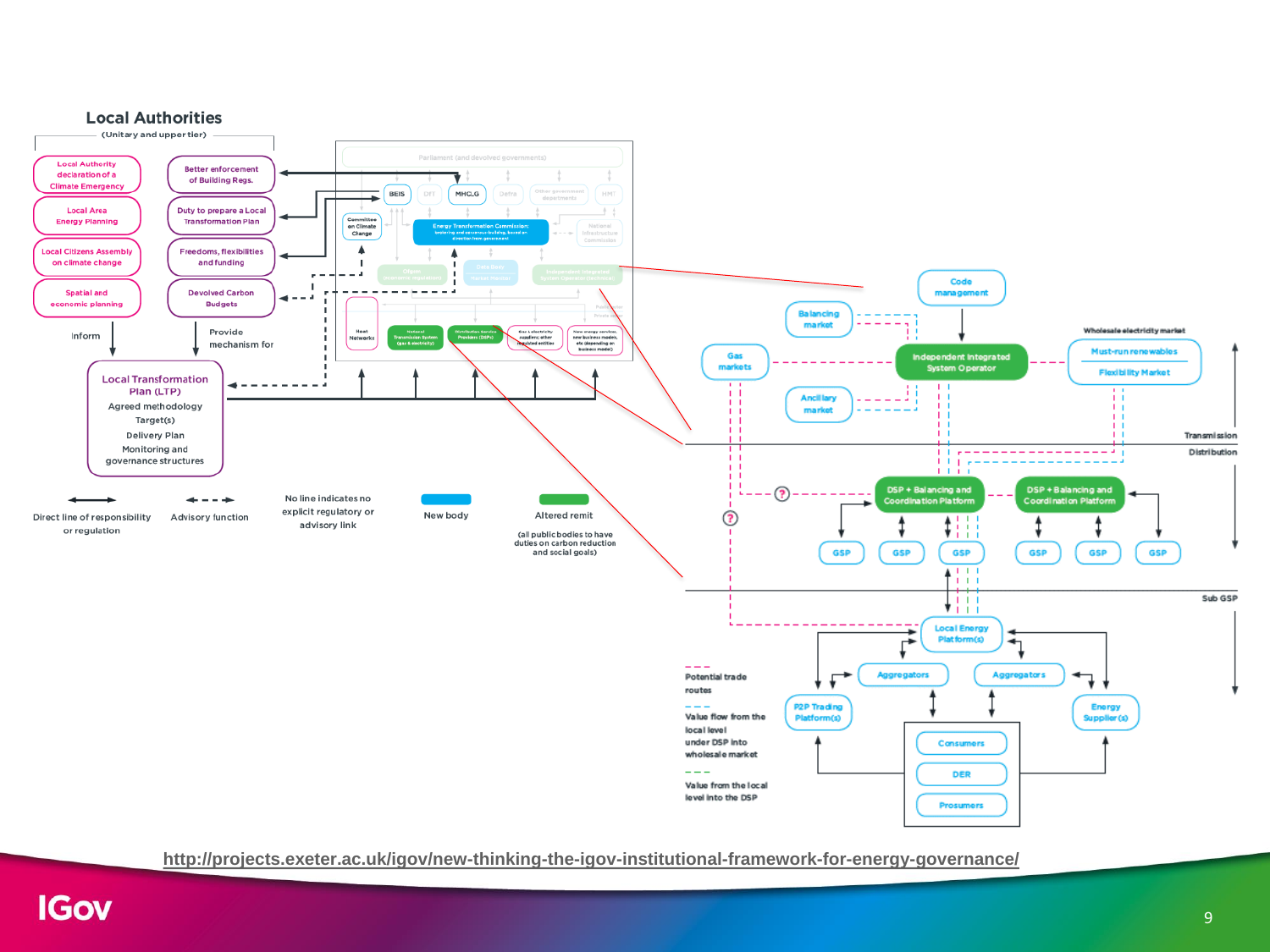

**<http://projects.exeter.ac.uk/igov/new-thinking-the-igov-institutional-framework-for-energy-governance/>**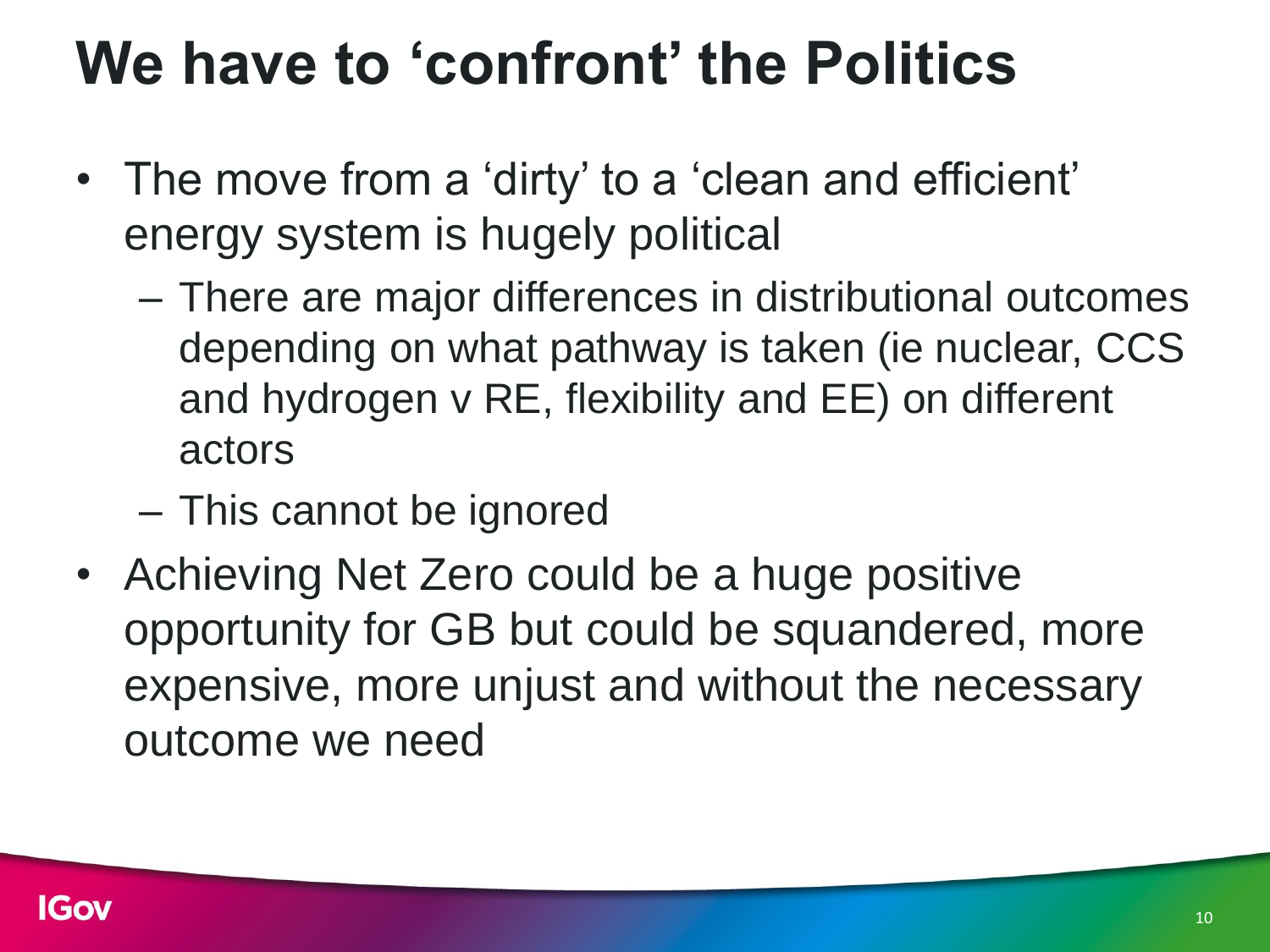### **We have to 'confront' the Politics**

- The move from a 'dirty' to a 'clean and efficient' energy system is hugely political
	- There are major differences in distributional outcomes depending on what pathway is taken (ie nuclear, CCS and hydrogen v RE, flexibility and EE) on different actors
	- This cannot be ignored
- Achieving Net Zero could be a huge positive opportunity for GB but could be squandered, more expensive, more unjust and without the necessary outcome we need